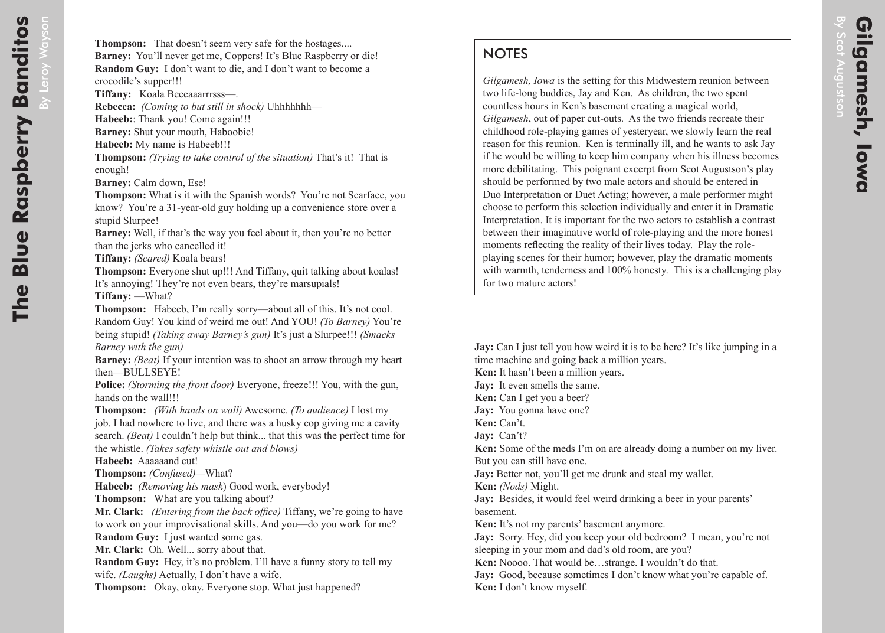## **NOTES**

*Gilgamesh, Iowa* is the setting for this Midwestern reunion between two life-long buddies, Jay and Ken. As children, the two spent countless hours in Ken's basement creating a magical world, *Gilgamesh*, out of paper cut-outs. As the two friends recreate their childhood role-playing games of yesteryear, we slowly learn the real reason for this reunion. Ken is terminally ill, and he wants to ask Jay if he would be willing to keep him company when his illness becomes more debilitating. This poignant excerpt from Scot Augustson's play should be performed by two male actors and should be entered in Duo Interpretation or Duet Acting; however, a male performer might choose to perform this selection individually and enter it in Dramatic Interpretation. It is important for the two actors to establish a contrast between their imaginative world of role-playing and the more honest moments reflecting the reality of their lives today. Play the roleplaying scenes for their humor; however, play the dramatic moments with warmth, tenderness and 100% honesty. This is a challenging play for two mature actors!

**Jay:** Can I just tell you how weird it is to be here? It's like jumping in a time machine and going back a million years.

**Ken:** It hasn't been a million years.

**Jay:** It even smells the same.

**Ken:** Can I get you a beer?

**Jay:** You gonna have one?

**Ken:** Can't.

**Jay:** Can't?

**Ken:** Some of the meds I'm on are already doing a number on my liver. But you can still have one.

**Jay:** Better not, you'll get me drunk and steal my wallet.

**Ken:** *(Nods)* Might.

**Jay:** Besides, it would feel weird drinking a beer in your parents' basement.

**Ken:** It's not my parents' basement anymore.

**Jay:** Sorry. Hey, did you keep your old bedroom? I mean, you're not sleeping in your mom and dad's old room, are you?

**Ken:** Noooo. That would be…strange. I wouldn't do that.

**Jay:** Good, because sometimes I don't know what you're capable of. **Ken:** I don't know myself.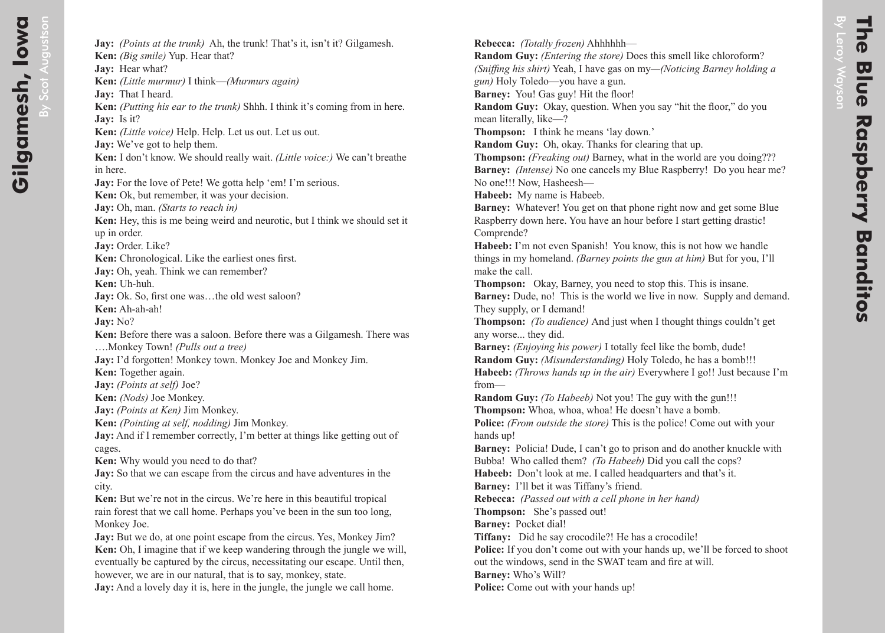**Jay:** *(Points at the trunk)* Ah, the trunk! That's it, isn't it? Gilgamesh. **Ken:** *(Big smile)* Yup. Hear that? **Jay:** Hear what? **Ken:** *(Little murmur)* I think—*(Murmurs again)* **Jay:** That I heard. **Ken:** *(Putting his ear to the trunk)* Shhh. I think it's coming from in here. **Jay:** Is it? **Ken:** *(Little voice)* Help. Help. Let us out. Let us out. **Jay:** We've got to help them. **Ken:** I don't know. We should really wait. *(Little voice:)* We can't breathe in here. **Jay:** For the love of Pete! We gotta help 'em! I'm serious. **Ken:** Ok, but remember, it was your decision. **Jay:** Oh, man. *(Starts to reach in)* **Ken:** Hey, this is me being weird and neurotic, but I think we should set it up in order. **Jay:** Order. Like? **Ken:** Chronological. Like the earliest ones first. **Jay:** Oh, yeah. Think we can remember? **Ken:** Uh-huh. **Jay:** Ok. So, first one was...the old west saloon? **Ken:** Ah-ah-ah! **Jay:** No? **Ken:** Before there was a saloon. Before there was a Gilgamesh. There was ….Monkey Town! *(Pulls out a tree)* **Jay:** I'd forgotten! Monkey town. Monkey Joe and Monkey Jim. **Ken:** Together again. **Jay:** *(Points at self)* Joe? **Ken:** *(Nods)* Joe Monkey. **Jay:** *(Points at Ken)* Jim Monkey. **Ken:** *(Pointing at self, nodding)* Jim Monkey. **Jay:** And if I remember correctly, I'm better at things like getting out of cages. **Ken:** Why would you need to do that? **Jay:** So that we can escape from the circus and have adventures in the city. **Ken:** But we're not in the circus. We're here in this beautiful tropical rain forest that we call home. Perhaps you've been in the sun too long, Monkey Joe. **Jay:** But we do, at one point escape from the circus. Yes, Monkey Jim? **Ken:** Oh, I imagine that if we keep wandering through the jungle we will, eventually be captured by the circus, necessitating our escape. Until then,

however, we are in our natural, that is to say, monkey, state.

**Jay:** And a lovely day it is, here in the jungle, the jungle we call home.